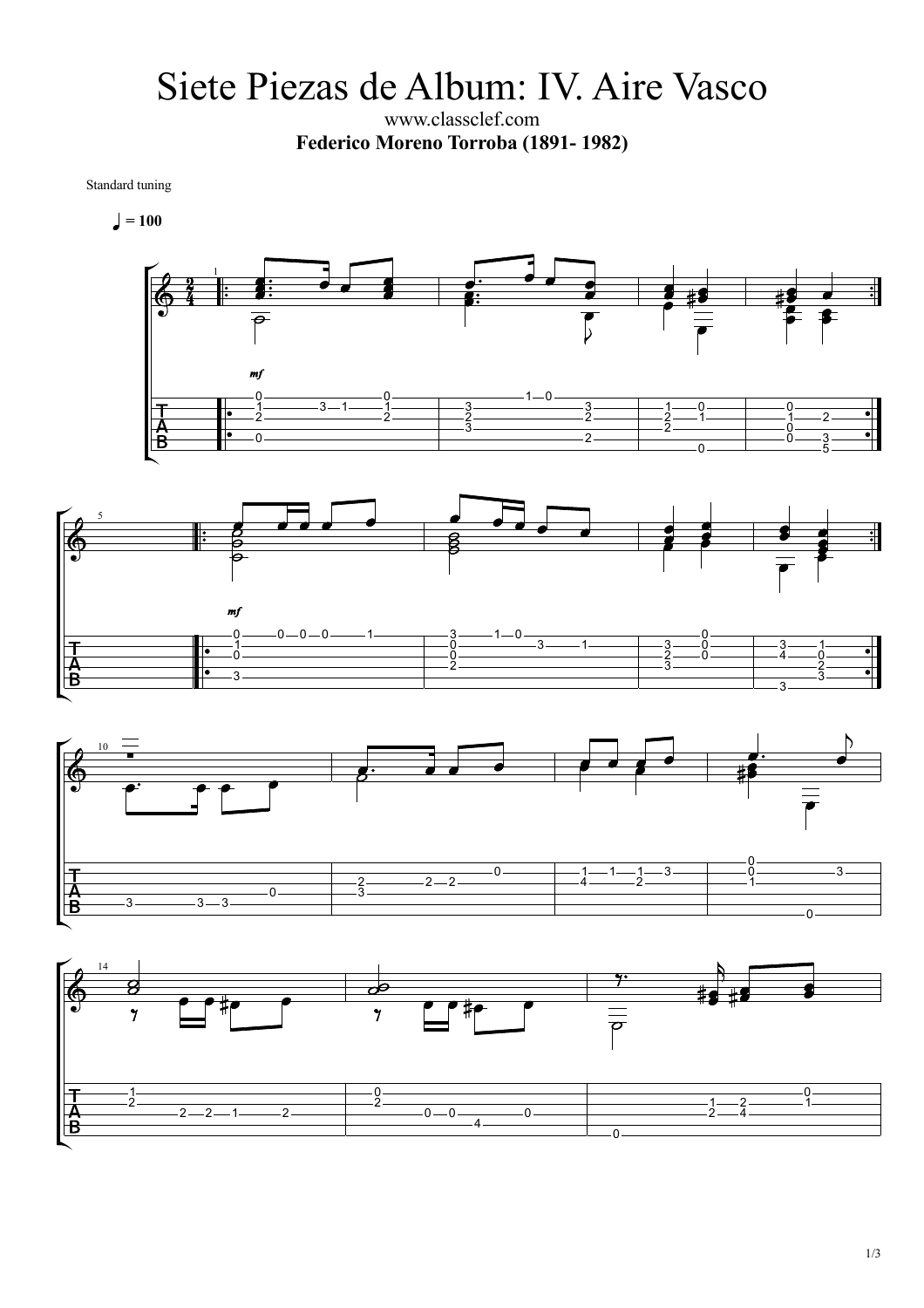Siete Piezas de Album: IV. Aire Vasco

www.classclef.com **Federico Moreno Torroba (1891- 1982)**

Standard tuning







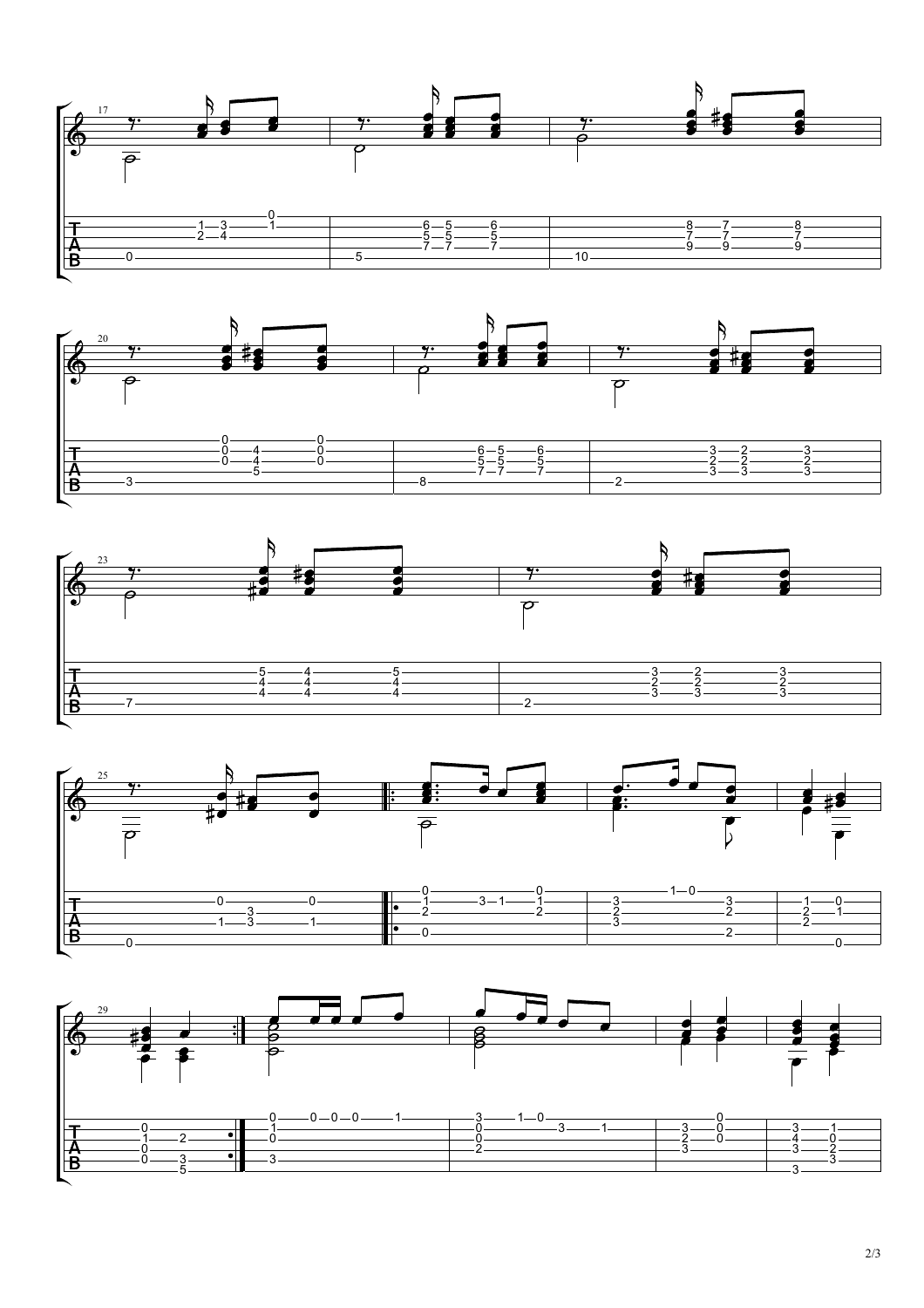